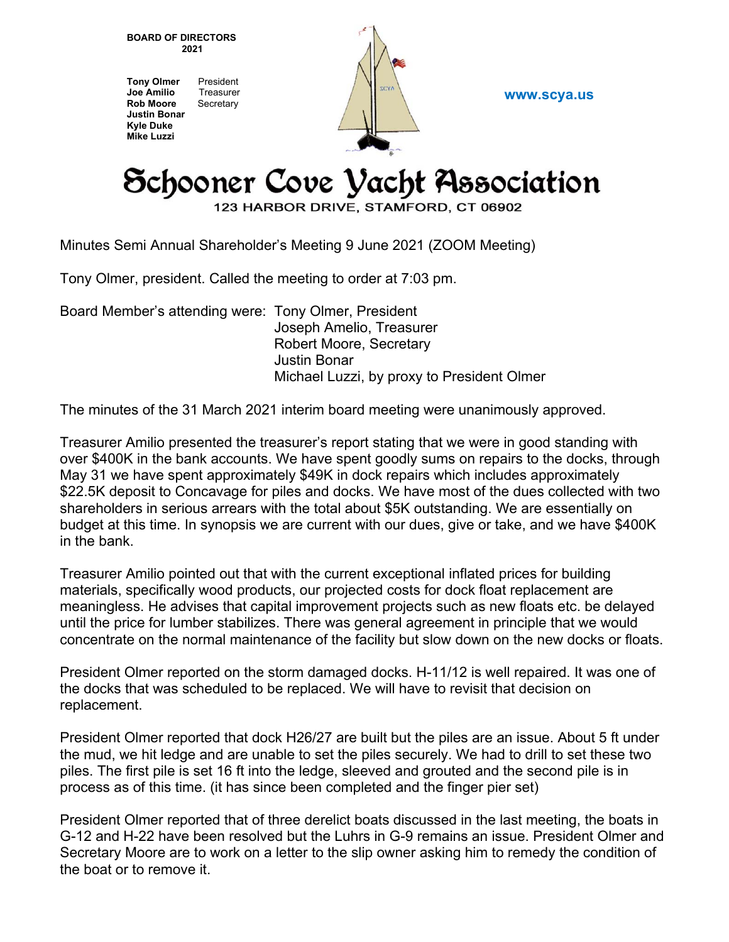**BOARD OF DIRECTORS 2021** 

**Tony Olmer** President **Joe Amilio** Treasurer **Rob Moore** Secretary **Justin Bonar Kyle Duke Mike Luzzi** 



**www.scya.us** 

## Schooner Cove Vacht Association

123 HARBOR DRIVE, STAMFORD, CT 06902

Minutes Semi Annual Shareholder's Meeting 9 June 2021 (ZOOM Meeting)

Tony Olmer, president. Called the meeting to order at 7:03 pm.

Board Member's attending were: Tony Olmer, President Joseph Amelio, Treasurer Robert Moore, Secretary Justin Bonar Michael Luzzi, by proxy to President Olmer

The minutes of the 31 March 2021 interim board meeting were unanimously approved.

Treasurer Amilio presented the treasurer's report stating that we were in good standing with over \$400K in the bank accounts. We have spent goodly sums on repairs to the docks, through May 31 we have spent approximately \$49K in dock repairs which includes approximately \$22.5K deposit to Concavage for piles and docks. We have most of the dues collected with two shareholders in serious arrears with the total about \$5K outstanding. We are essentially on budget at this time. In synopsis we are current with our dues, give or take, and we have \$400K in the bank.

Treasurer Amilio pointed out that with the current exceptional inflated prices for building materials, specifically wood products, our projected costs for dock float replacement are meaningless. He advises that capital improvement projects such as new floats etc. be delayed until the price for lumber stabilizes. There was general agreement in principle that we would concentrate on the normal maintenance of the facility but slow down on the new docks or floats.

President Olmer reported on the storm damaged docks. H-11/12 is well repaired. It was one of the docks that was scheduled to be replaced. We will have to revisit that decision on replacement.

President Olmer reported that dock H26/27 are built but the piles are an issue. About 5 ft under the mud, we hit ledge and are unable to set the piles securely. We had to drill to set these two piles. The first pile is set 16 ft into the ledge, sleeved and grouted and the second pile is in process as of this time. (it has since been completed and the finger pier set)

President Olmer reported that of three derelict boats discussed in the last meeting, the boats in G-12 and H-22 have been resolved but the Luhrs in G-9 remains an issue. President Olmer and Secretary Moore are to work on a letter to the slip owner asking him to remedy the condition of the boat or to remove it.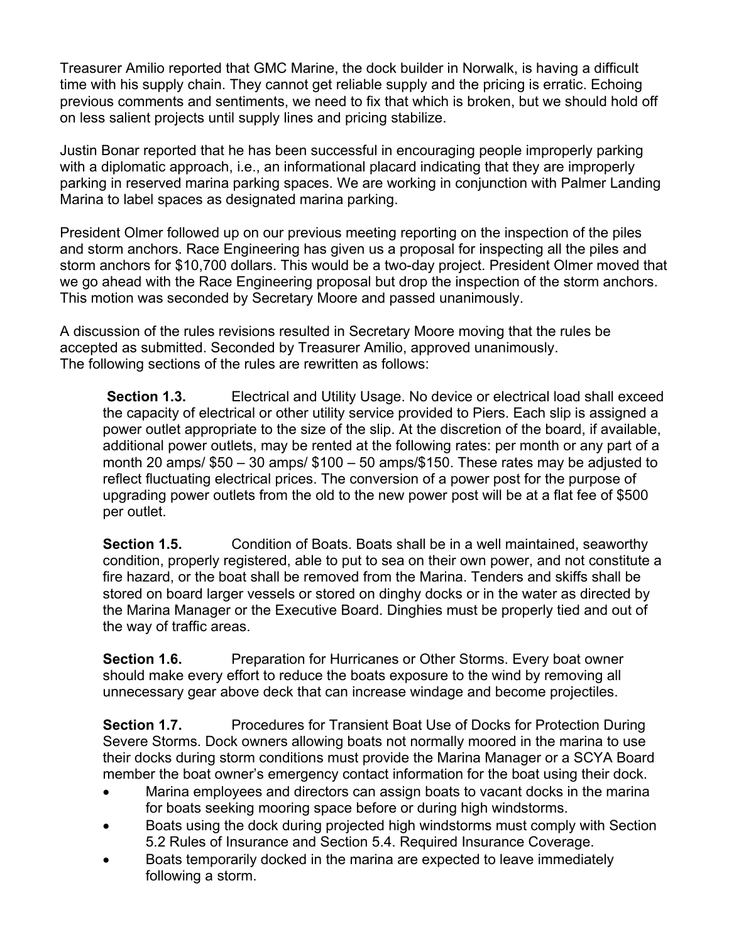Treasurer Amilio reported that GMC Marine, the dock builder in Norwalk, is having a difficult time with his supply chain. They cannot get reliable supply and the pricing is erratic. Echoing previous comments and sentiments, we need to fix that which is broken, but we should hold off on less salient projects until supply lines and pricing stabilize.

Justin Bonar reported that he has been successful in encouraging people improperly parking with a diplomatic approach, i.e., an informational placard indicating that they are improperly parking in reserved marina parking spaces. We are working in conjunction with Palmer Landing Marina to label spaces as designated marina parking.

President Olmer followed up on our previous meeting reporting on the inspection of the piles and storm anchors. Race Engineering has given us a proposal for inspecting all the piles and storm anchors for \$10,700 dollars. This would be a two-day project. President Olmer moved that we go ahead with the Race Engineering proposal but drop the inspection of the storm anchors. This motion was seconded by Secretary Moore and passed unanimously.

A discussion of the rules revisions resulted in Secretary Moore moving that the rules be accepted as submitted. Seconded by Treasurer Amilio, approved unanimously. The following sections of the rules are rewritten as follows:

**Section 1.3.** Electrical and Utility Usage. No device or electrical load shall exceed the capacity of electrical or other utility service provided to Piers. Each slip is assigned a power outlet appropriate to the size of the slip. At the discretion of the board, if available, additional power outlets, may be rented at the following rates: per month or any part of a month 20 amps/ \$50 – 30 amps/ \$100 – 50 amps/\$150. These rates may be adjusted to reflect fluctuating electrical prices. The conversion of a power post for the purpose of upgrading power outlets from the old to the new power post will be at a flat fee of \$500 per outlet.

**Section 1.5.** Condition of Boats. Boats shall be in a well maintained, seaworthy condition, properly registered, able to put to sea on their own power, and not constitute a fire hazard, or the boat shall be removed from the Marina. Tenders and skiffs shall be stored on board larger vessels or stored on dinghy docks or in the water as directed by the Marina Manager or the Executive Board. Dinghies must be properly tied and out of the way of traffic areas.

**Section 1.6.** Preparation for Hurricanes or Other Storms. Every boat owner should make every effort to reduce the boats exposure to the wind by removing all unnecessary gear above deck that can increase windage and become projectiles.

**Section 1.7.** Procedures for Transient Boat Use of Docks for Protection During Severe Storms. Dock owners allowing boats not normally moored in the marina to use their docks during storm conditions must provide the Marina Manager or a SCYA Board member the boat owner's emergency contact information for the boat using their dock.

- Marina employees and directors can assign boats to vacant docks in the marina for boats seeking mooring space before or during high windstorms.
- Boats using the dock during projected high windstorms must comply with Section 5.2 Rules of Insurance and Section 5.4. Required Insurance Coverage.
- Boats temporarily docked in the marina are expected to leave immediately following a storm.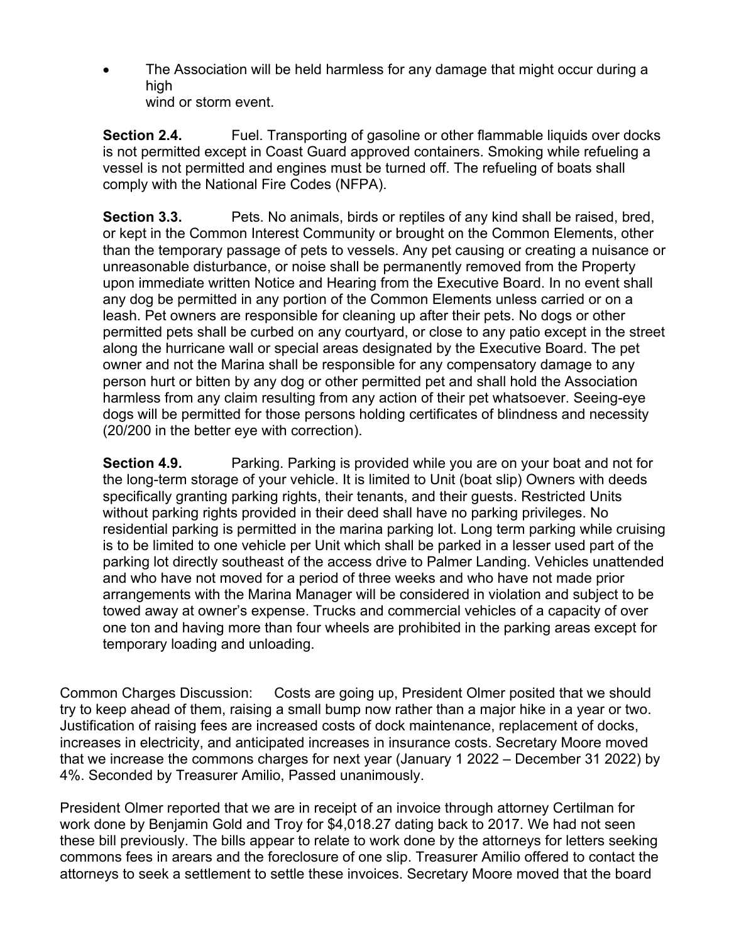The Association will be held harmless for any damage that might occur during a high wind or storm event.

**Section 2.4.** Fuel. Transporting of gasoline or other flammable liquids over docks is not permitted except in Coast Guard approved containers. Smoking while refueling a vessel is not permitted and engines must be turned off. The refueling of boats shall comply with the National Fire Codes (NFPA).

**Section 3.3.** Pets. No animals, birds or reptiles of any kind shall be raised, bred, or kept in the Common Interest Community or brought on the Common Elements, other than the temporary passage of pets to vessels. Any pet causing or creating a nuisance or unreasonable disturbance, or noise shall be permanently removed from the Property upon immediate written Notice and Hearing from the Executive Board. In no event shall any dog be permitted in any portion of the Common Elements unless carried or on a leash. Pet owners are responsible for cleaning up after their pets. No dogs or other permitted pets shall be curbed on any courtyard, or close to any patio except in the street along the hurricane wall or special areas designated by the Executive Board. The pet owner and not the Marina shall be responsible for any compensatory damage to any person hurt or bitten by any dog or other permitted pet and shall hold the Association harmless from any claim resulting from any action of their pet whatsoever. Seeing-eye dogs will be permitted for those persons holding certificates of blindness and necessity (20/200 in the better eye with correction).

**Section 4.9.** Parking. Parking is provided while you are on your boat and not for the long-term storage of your vehicle. It is limited to Unit (boat slip) Owners with deeds specifically granting parking rights, their tenants, and their guests. Restricted Units without parking rights provided in their deed shall have no parking privileges. No residential parking is permitted in the marina parking lot. Long term parking while cruising is to be limited to one vehicle per Unit which shall be parked in a lesser used part of the parking lot directly southeast of the access drive to Palmer Landing. Vehicles unattended and who have not moved for a period of three weeks and who have not made prior arrangements with the Marina Manager will be considered in violation and subject to be towed away at owner's expense. Trucks and commercial vehicles of a capacity of over one ton and having more than four wheels are prohibited in the parking areas except for temporary loading and unloading.

Common Charges Discussion: Costs are going up, President Olmer posited that we should try to keep ahead of them, raising a small bump now rather than a major hike in a year or two. Justification of raising fees are increased costs of dock maintenance, replacement of docks, increases in electricity, and anticipated increases in insurance costs. Secretary Moore moved that we increase the commons charges for next year (January 1 2022 – December 31 2022) by 4%. Seconded by Treasurer Amilio, Passed unanimously.

President Olmer reported that we are in receipt of an invoice through attorney Certilman for work done by Benjamin Gold and Troy for \$4,018.27 dating back to 2017. We had not seen these bill previously. The bills appear to relate to work done by the attorneys for letters seeking commons fees in arears and the foreclosure of one slip. Treasurer Amilio offered to contact the attorneys to seek a settlement to settle these invoices. Secretary Moore moved that the board